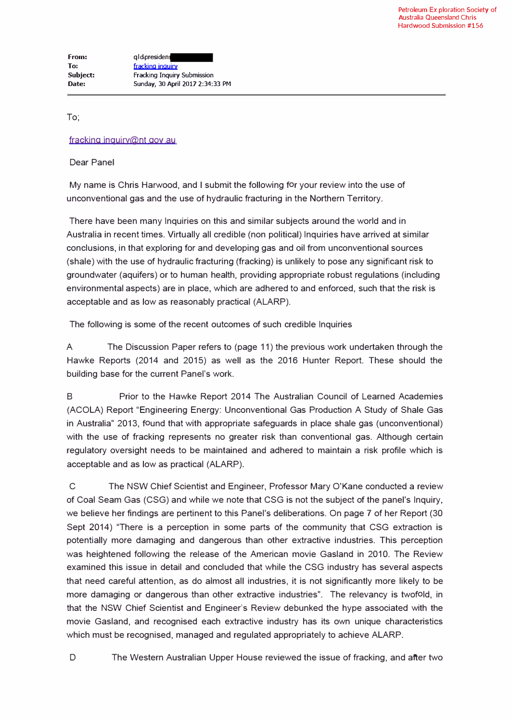To;

## fracking inquiry@nt gov au

## Dear Panel

My name is Chris Harwood, and I submit the following for your review into the use of unconventional gas and the use of hydraulic fracturing in the Northern Territory.

There have been many Inquiries on this and similar subjects around the world and in Australia in recent times. Virtually all credible (non political) Inquiries have arrived at similar conclusions, in that exploring for and developing gas and oil from unconventional sources (shale) with the use of hydraulic fracturing (fracking) is unlikely to pose any significant risk to groundwater (aquifers) or to human health, providing appropriate robust regulations (including environmental aspects) are in place, which are adhered to and enforced, such that the risk is acceptable and as low as reasonably practical (ALARP).

The following is some of the recent outcomes of such credible Inquiries

A The Discussion Paper refers to (page 11) the previous work undertaken through the Hawke Reports (2014 and 2015) as well as the 2016 Hunter Report. These should the building base for the current Panel's work.

B Prior to the Hawke Report 2014 The Australian Council of Learned Academies (ACOLA) Report "Engineering Energy: Unconventional Gas Production A Study of Shale Gas in Australia" 2013, found that with appropriate safeguards in place shale gas (unconventional) with the use of tracking represents no greater risk than conventional gas. Although certain regulatory oversight needs to be maintained and adhered to maintain a risk profile which is acceptable and as low as practical (ALARP).

C The NSW Chief Scientist and Engineer, Professor Mary O'Kane conducted a review of Coal Seam Gas (CSG) and while we note that CSG is not the subject of the panel's Inquiry, we believe her findings are pertinent to this Panel's deliberations. On page 7 of her Report (30 Sept 2014) "There is a perception in some parts of the community that CSG extraction is potentially more damaging and dangerous than other extractive industries. This perception was heightened following the release of the American movie Gasland in 2010. The Review examined this issue in detail and concluded that while the CSG industry has several aspects that need careful attention, as do almost all industries, it is not significantly more likely to be more damaging or dangerous than other extractive industries". The relevancy is twofold, in that the NSW Chief Scientist and Engineer's Review debunked the hype associated with the movie Gasland, and recognised each extractive industry has its own unique characteristics which must be recognised, managed and regulated appropriately to achieve ALARP.

D The Western Australian Upper House reviewed the issue of fracking, and after two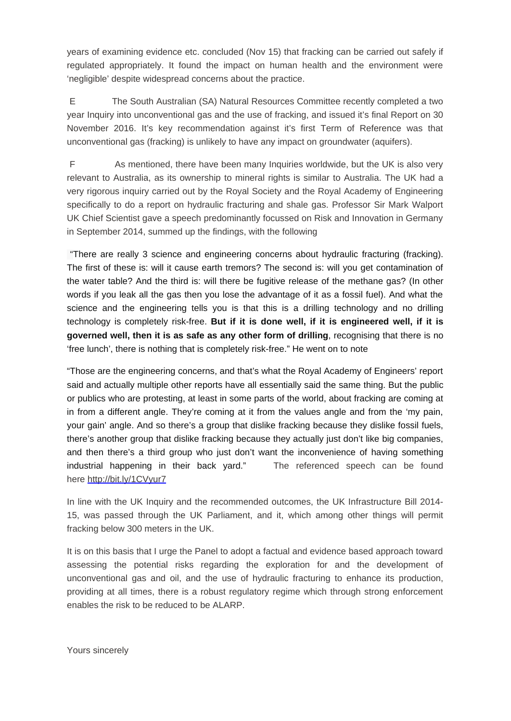years of examining evidence etc. concluded (Nov 15) that fracking can be carried out safely if regulated appropriately. It found the impact on human health and the environment were 'negligible' despite widespread concerns about the practice.

 E The South Australian (SA) Natural Resources Committee recently completed a two year Inquiry into unconventional gas and the use of fracking, and issued it's final Report on 30 November 2016. It's key recommendation against it's first Term of Reference was that unconventional gas (fracking) is unlikely to have any impact on groundwater (aquifers).

 F As mentioned, there have been many Inquiries worldwide, but the UK is also very relevant to Australia, as its ownership to mineral rights is similar to Australia. The UK had a very rigorous inquiry carried out by the Royal Society and the Royal Academy of Engineering specifically to do a report on hydraulic fracturing and shale gas. Professor Sir Mark Walport UK Chief Scientist gave a speech predominantly focussed on Risk and Innovation in Germany in September 2014, summed up the findings, with the following

 "There are really 3 science and engineering concerns about hydraulic fracturing (fracking). The first of these is: will it cause earth tremors? The second is: will you get contamination of the water table? And the third is: will there be fugitive release of the methane gas? (In other words if you leak all the gas then you lose the advantage of it as a fossil fuel). And what the science and the engineering tells you is that this is a drilling technology and no drilling technology is completely risk-free. **But if it is done well, if it is engineered well, if it is governed well, then it is as safe as any other form of drilling**, recognising that there is no 'free lunch', there is nothing that is completely risk-free." He went on to note

"Those are the engineering concerns, and that's what the Royal Academy of Engineers' report said and actually multiple other reports have all essentially said the same thing. But the public or publics who are protesting, at least in some parts of the world, about fracking are coming at in from a different angle. They're coming at it from the values angle and from the 'my pain, your gain' angle. And so there's a group that dislike fracking because they dislike fossil fuels, there's another group that dislike fracking because they actually just don't like big companies, and then there's a third group who just don't want the inconvenience of having something industrial happening in their back yard." The referenced speech can be found here http://bit.ly/1CVyur7

In line with the UK Inquiry and the recommended outcomes, the UK Infrastructure Bill 2014- 15, was passed through the UK Parliament, and it, which among other things will permit fracking below 300 meters in the UK.

It is on this basis that I urge the Panel to adopt a factual and evidence based approach toward assessing the potential risks regarding the exploration for and the development of unconventional gas and oil, and the use of hydraulic fracturing to enhance its production, providing at all times, there is a robust regulatory regime which through strong enforcement enables the risk to be reduced to be ALARP.

Yours sincerely